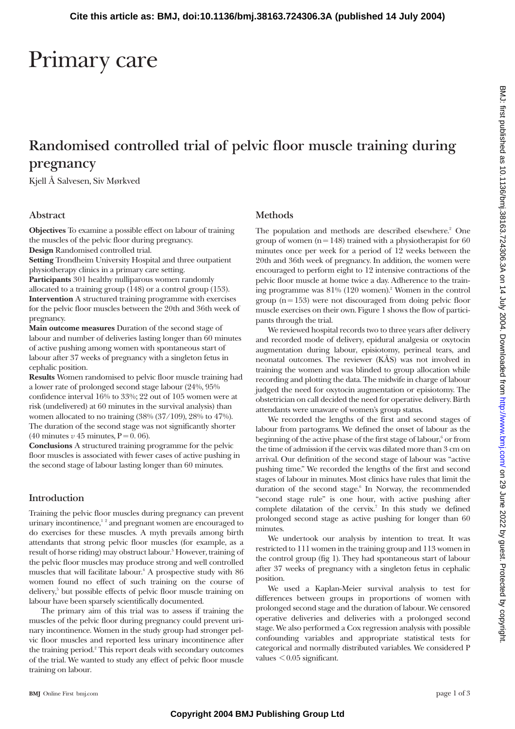# Primary care

# **Randomised controlled trial of pelvic floor muscle training during pregnancy**

Kjell Å Salvesen, Siv Mørkved

#### **Abstract**

**Objectives** To examine a possible effect on labour of training the muscles of the pelvic floor during pregnancy. **Design** Randomised controlled trial.

**Setting** Trondheim University Hospital and three outpatient physiotherapy clinics in a primary care setting.

**Participants** 301 healthy nulliparous women randomly allocated to a training group (148) or a control group (153). **Intervention** A structured training programme with exercises for the pelvic floor muscles between the 20th and 36th week of pregnancy.

**Main outcome measures** Duration of the second stage of labour and number of deliveries lasting longer than 60 minutes of active pushing among women with spontaneous start of labour after 37 weeks of pregnancy with a singleton fetus in cephalic position.

**Results** Women randomised to pelvic floor muscle training had a lower rate of prolonged second stage labour (24%, 95% confidence interval 16% to 33%; 22 out of 105 women were at risk (undelivered) at 60 minutes in the survival analysis) than women allocated to no training (38% (37/109), 28% to 47%). The duration of the second stage was not significantly shorter  $(40 \text{ minutes } v \, 45 \text{ minutes}, P = 0.06).$ 

**Conclusions** A structured training programme for the pelvic floor muscles is associated with fewer cases of active pushing in the second stage of labour lasting longer than 60 minutes.

# **Introduction**

Training the pelvic floor muscles during pregnancy can prevent urinary incontinence,<sup>12</sup> and pregnant women are encouraged to do exercises for these muscles. A myth prevails among birth attendants that strong pelvic floor muscles (for example, as a result of horse riding) may obstruct labour.<sup>3</sup> However, training of the pelvic floor muscles may produce strong and well controlled muscles that will facilitate labour.<sup>4</sup> A prospective study with 86 women found no effect of such training on the course of delivery,<sup>5</sup> but possible effects of pelvic floor muscle training on labour have been sparsely scientifically documented.

The primary aim of this trial was to assess if training the muscles of the pelvic floor during pregnancy could prevent urinary incontinence. Women in the study group had stronger pelvic floor muscles and reported less urinary incontinence after the training period.<sup>2</sup> This report deals with secondary outcomes of the trial. We wanted to study any effect of pelvic floor muscle training on labour.

# **Methods**

The population and methods are described elsewhere.<sup>2</sup> One group of women ( $n = 148$ ) trained with a physiotherapist for 60 minutes once per week for a period of 12 weeks between the 20th and 36th week of pregnancy. In addition, the women were encouraged to perform eight to 12 intensive contractions of the pelvic floor muscle at home twice a day. Adherence to the training programme was  $81\%$  (120 women).<sup>2</sup> Women in the control group  $(n = 153)$  were not discouraged from doing pelvic floor muscle exercises on their own. Figure 1 shows the flow of participants through the trial.

We reviewed hospital records two to three years after delivery and recorded mode of delivery, epidural analgesia or oxytocin augmentation during labour, episiotomy, perineal tears, and neonatal outcomes. The reviewer (KÅS) was not involved in training the women and was blinded to group allocation while recording and plotting the data. The midwife in charge of labour judged the need for oxytocin augmentation or episiotomy. The obstetrician on call decided the need for operative delivery. Birth attendants were unaware of women's group status.

We recorded the lengths of the first and second stages of labour from partograms. We defined the onset of labour as the beginning of the active phase of the first stage of labour,<sup>6</sup> or from the time of admission if the cervix was dilated more than 3 cm on arrival. Our definition of the second stage of labour was "active pushing time." We recorded the lengths of the first and second stages of labour in minutes. Most clinics have rules that limit the duration of the second stage.<sup>6</sup> In Norway, the recommended "second stage rule" is one hour, with active pushing after complete dilatation of the cervix.<sup>7</sup> In this study we defined prolonged second stage as active pushing for longer than 60 minutes.

We undertook our analysis by intention to treat. It was restricted to 111 women in the training group and 113 women in the control group (fig 1). They had spontaneous start of labour after 37 weeks of pregnancy with a singleton fetus in cephalic position.

We used a Kaplan-Meier survival analysis to test for differences between groups in proportions of women with prolonged second stage and the duration of labour. We censored operative deliveries and deliveries with a prolonged second stage. We also performed a Cox regression analysis with possible confounding variables and appropriate statistical tests for categorical and normally distributed variables. We considered P values < 0.05 significant.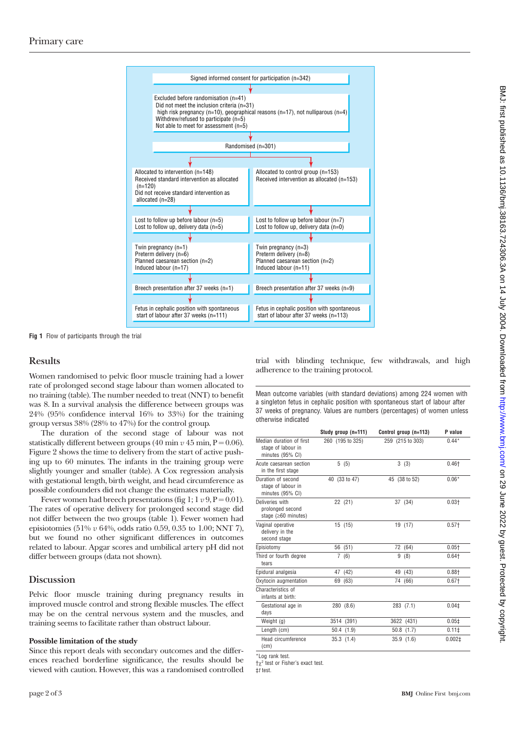

**Fig 1** Flow of participants through the trial

### **Results**

Women randomised to pelvic floor muscle training had a lower rate of prolonged second stage labour than women allocated to no training (table). The number needed to treat (NNT) to benefit was 8. In a survival analysis the difference between groups was 24% (95% confidence interval 16% to 33%) for the training group versus 38% (28% to 47%) for the control group.

The duration of the second stage of labour was not statistically different between groups (40 min  $v$  45 min, P = 0.06). Figure 2 shows the time to delivery from the start of active pushing up to 60 minutes. The infants in the training group were slightly younger and smaller (table). A Cox regression analysis with gestational length, birth weight, and head circumference as possible confounders did not change the estimates materially.

Fewer women had breech presentations (fig 1;  $1 \nu 9$ ,  $P = 0.01$ ). The rates of operative delivery for prolonged second stage did not differ between the two groups (table 1). Fewer women had episiotomies (51% *v* 64%, odds ratio 0.59, 0.35 to 1.00; NNT 7), but we found no other significant differences in outcomes related to labour. Apgar scores and umbilical artery pH did not differ between groups (data not shown).

#### **Discussion**

Pelvic floor muscle training during pregnancy results in improved muscle control and strong flexible muscles. The effect may be on the central nervous system and the muscles, and training seems to facilitate rather than obstruct labour.

#### **Possible limitation of the study**

Since this report deals with secondary outcomes and the differences reached borderline significance, the results should be viewed with caution. However, this was a randomised controlled trial with blinding technique, few withdrawals, and high adherence to the training protocol.

Mean outcome variables (with standard deviations) among 224 women with a singleton fetus in cephalic position with spontaneous start of labour after 37 weeks of pregnancy. Values are numbers (percentages) of women unless otherwise indicated

|                                                                    | Study group (n=111) | Control group (n=113) | P value            |
|--------------------------------------------------------------------|---------------------|-----------------------|--------------------|
| Median duration of first<br>stage of labour in<br>minutes (95% CI) | 260 (195 to 325)    | 259 (215 to 303)      | $0.44*$            |
| Acute caesarean section<br>in the first stage                      | 5(5)                | 3(3)                  | $0.46 +$           |
| Duration of second<br>stage of labour in<br>minutes (95% CI)       | 40 (33 to 47)       | 45 (38 to 52)         | $0.06*$            |
| Deliveries with<br>prolonged second<br>stage ( $\geq 60$ minutes)  | 22 (21)             | 37 (34)               | $0.03 +$           |
| Vaginal operative<br>delivery in the<br>second stage               | 15(15)              | 19 (17)               | $0.57 +$           |
| Episiotomy                                                         | 56 (51)             | 72 (64)               | $0.05 +$           |
| Third or fourth degree<br>tears                                    | 7(6)                | 9<br>(8)              | $0.64+$            |
| Epidural analgesia                                                 | 47 (42)             | 49 (43)               | $0.88 +$           |
| Oxytocin augmentation                                              | 69 (63)             | 74 (66)               | $0.67+$            |
| Characteristics of<br>infants at birth:                            |                     |                       |                    |
| Gestational age in<br>days                                         | 280 (8.6)           | 283 (7.1)             | 0.04 <sup>‡</sup>  |
| Weight (g)                                                         | 3514 (391)          | 3622 (431)            | 0.05 <sup>‡</sup>  |
| Length (cm)                                                        | 50.4(1.9)           | $50.8$ $(1.7)$        | 0.111              |
| Head circumference<br>(c <sub>m</sub> )                            | 35.3(1.4)           | 35.9(1.6)             | 0.002 <sup>±</sup> |
|                                                                    |                     |                       |                    |

\*Log rank test.

 $+v^2$  test or Fisher's exact test.

‡t test.